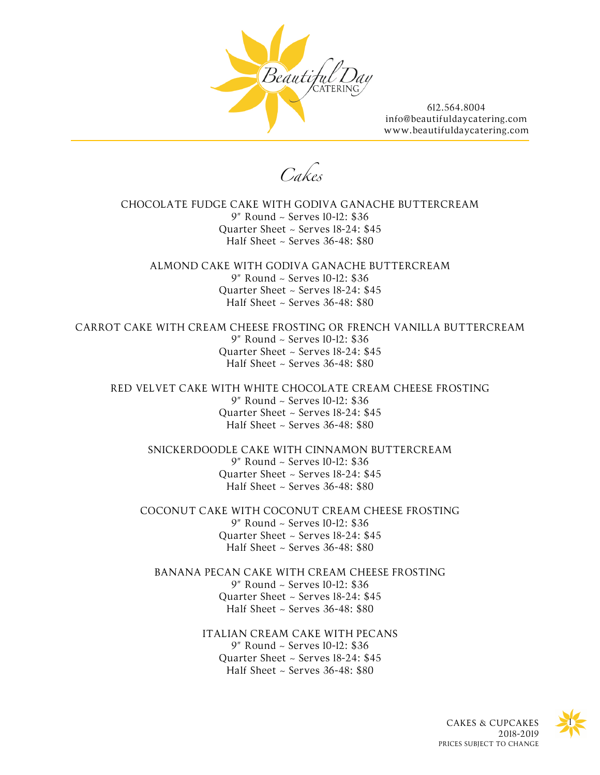

*Cakes* 

CHOCOLATE FUDGE CAKE WITH GODIVA GANACHE BUTTERCREAM 9" Round ~ Serves 10-12: \$36 Quarter Sheet ~ Serves 18-24: \$45 Half Sheet  $\sim$  Serves 36-48: \$80

ALMOND CAKE WITH GODIVA GANACHE BUTTERCREAM 9" Round ~ Serves 10-12: \$36 Quarter Sheet ~ Serves 18-24: \$45 Half Sheet  $\sim$  Serves 36-48: \$80

CARROT CAKE WITH CREAM CHEESE FROSTING OR FRENCH VANILLA BUTTERCREAM 9" Round ~ Serves 10-12: \$36 Quarter Sheet ~ Serves 18-24: \$45 Half Sheet ~ Serves 36-48: \$80

RED VELVET CAKE WITH WHITE CHOCOLATE CREAM CHEESE FROSTING 9" Round ~ Serves 10-12: \$36 Quarter Sheet ~ Serves 18-24: \$45 Half Sheet ~ Serves 36-48: \$80

SNICKERDOODLE CAKE WITH CINNAMON BUTTERCREAM 9" Round ~ Serves 10-12: \$36 Quarter Sheet ~ Serves 18-24: \$45 Half Sheet  $\sim$  Serves 36-48: \$80

COCONUT CAKE WITH COCONUT CREAM CHEESE FROSTING 9" Round ~ Serves 10-12: \$36 Quarter Sheet ~ Serves 18-24: \$45 Half Sheet ~ Serves 36-48: \$80

BANANA PECAN CAKE WITH CREAM CHEESE FROSTING 9" Round ~ Serves 10-12: \$36 Quarter Sheet ~ Serves 18-24: \$45 Half Sheet  $\sim$  Serves 36-48: \$80

> ITALIAN CREAM CAKE WITH PECANS 9" Round ~ Serves 10-12: \$36 Quarter Sheet ~ Serves 18-24: \$45 Half Sheet  $\sim$  Serves 36-48: \$80



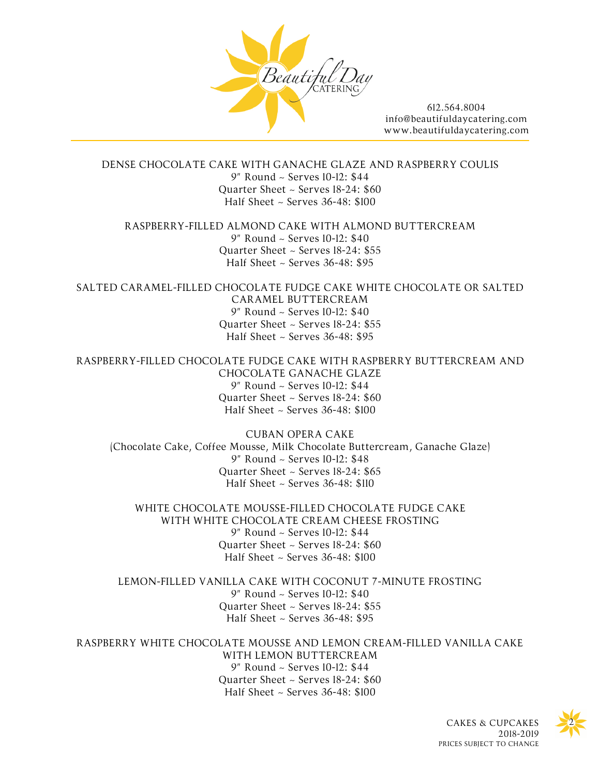

DENSE CHOCOLATE CAKE WITH GANACHE GLAZE AND RASPBERRY COULIS 9" Round ~ Serves 10-12: \$44 Quarter Sheet ~ Serves 18-24: \$60 Half Sheet ~ Serves 36-48: \$100

RASPBERRY-FILLED ALMOND CAKE WITH ALMOND BUTTERCREAM 9" Round ~ Serves 10-12: \$40 Quarter Sheet ~ Serves 18-24: \$55 Half Sheet ~ Serves 36-48: \$95

SALTED CARAMEL-FILLED CHOCOLATE FUDGE CAKE WHITE CHOCOLATE OR SALTED CARAMEL BUTTERCREAM 9" Round ~ Serves 10-12: \$40 Quarter Sheet ~ Serves 18-24: \$55 Half Sheet  $\sim$  Serves 36-48: \$95

RASPBERRY-FILLED CHOCOLATE FUDGE CAKE WITH RASPBERRY BUTTERCREAM AND CHOCOLATE GANACHE GLAZE 9" Round ~ Serves 10-12: \$44 Quarter Sheet ~ Serves 18-24: \$60 Half Sheet ~ Serves 36-48: \$100

CUBAN OPERA CAKE (Chocolate Cake, Coffee Mousse, Milk Chocolate Buttercream, Ganache Glaze) 9" Round ~ Serves 10-12: \$48 Quarter Sheet ~ Serves 18-24: \$65 Half Sheet ~ Serves 36-48: \$110

WHITE CHOCOLATE MOUSSE-FILLED CHOCOLATE FUDGE CAKE WITH WHITE CHOCOLATE CREAM CHEESE FROSTING 9" Round ~ Serves 10-12: \$44 Quarter Sheet ~ Serves 18-24: \$60 Half Sheet ~ Serves 36-48: \$100

LEMON-FILLED VANILLA CAKE WITH COCONUT 7-MINUTE FROSTING 9" Round ~ Serves 10-12: \$40 Quarter Sheet ~ Serves 18-24: \$55 Half Sheet ~ Serves 36-48: \$95

RASPBERRY WHITE CHOCOLATE MOUSSE AND LEMON CREAM-FILLED VANILLA CAKE WITH LEMON BUTTERCREAM 9" Round ~ Serves 10-12: \$44 Quarter Sheet ~ Serves 18-24: \$60 Half Sheet ~ Serves 36-48: \$100



CAKES & CUPCAKES 2018-2019 PRICES SUBJECT TO CHANGE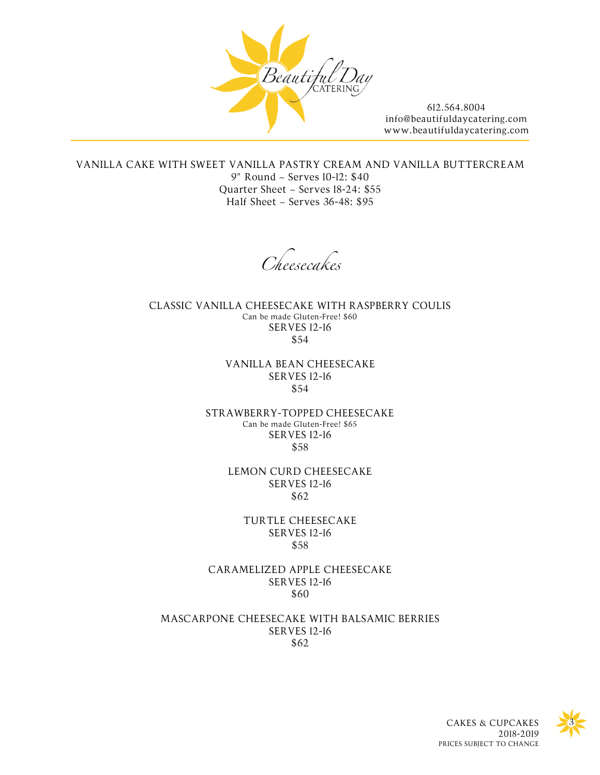

VANILLA CAKE WITH SWEET VANILLA PASTRY CREAM AND VANILLA BUTTERCREAM 9" Round ~ Serves 10-12: \$40 Quarter Sheet ~ Serves 18-24: \$55 Half Sheet ~ Serves 36-48: \$95

*Cheesecakes* 

CLASSIC VANILLA CHEESECAKE WITH RASPBERRY COULIS Can be made Gluten-Free! \$60 SERVES 12-16 \$54

> VANILLA BEAN CHEESECAKE SERVES 12-16 \$54

STRAWBERRY-TOPPED CHEESECAKE Can be made Gluten-Free! \$65 SERVES 12-16 \$58

> LEMON CURD CHEESECAKE SERVES 12-16 \$62

> > TURTLE CHEESECAKE SERVES 12-16 \$58

CARAMELIZED APPLE CHEESECAKE SERVES 12-16 \$60

MASCARPONE CHEESECAKE WITH BALSAMIC BERRIES SERVES 12-16 \$62



CAKES & CUPCAKES 2018-2019 PRICES SUBJECT TO CHANGE